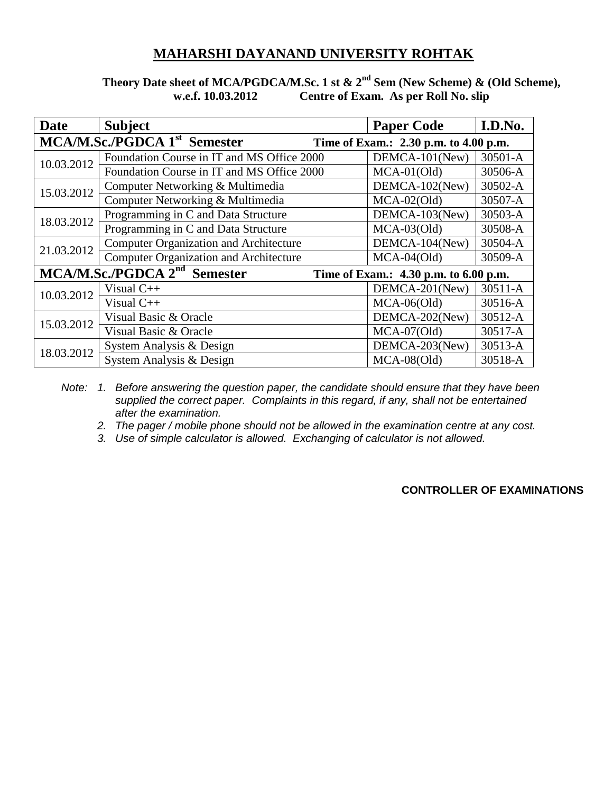## **MAHARSHI DAYANAND UNIVERSITY ROHTAK**

## **Theory Date sheet of MCA/PGDCA/M.Sc. 1 st & 2nd Sem (New Scheme) & (Old Scheme), w.e.f. 10.03.2012 Centre of Exam. As per Roll No. slip**

| <b>Date</b>                                                                       | <b>Subject</b>                                | <b>Paper Code</b> | I.D.No.     |  |  |
|-----------------------------------------------------------------------------------|-----------------------------------------------|-------------------|-------------|--|--|
| MCA/M.Sc./PGDCA 1 <sup>st</sup> Semester<br>Time of Exam.: 2.30 p.m. to 4.00 p.m. |                                               |                   |             |  |  |
| 10.03.2012                                                                        | Foundation Course in IT and MS Office 2000    | DEMCA-101(New)    | 30501-A     |  |  |
|                                                                                   | Foundation Course in IT and MS Office 2000    | $MCA-01(Old)$     | 30506-A     |  |  |
| 15.03.2012                                                                        | Computer Networking & Multimedia              | DEMCA-102(New)    | 30502-A     |  |  |
|                                                                                   | Computer Networking & Multimedia              | $MCA-02(Old)$     | 30507-A     |  |  |
| 18.03.2012                                                                        | Programming in C and Data Structure           | DEMCA-103(New)    | 30503-A     |  |  |
|                                                                                   | Programming in C and Data Structure           | $MCA-03(Old)$     | 30508-A     |  |  |
| 21.03.2012                                                                        | <b>Computer Organization and Architecture</b> | DEMCA-104(New)    | 30504-A     |  |  |
|                                                                                   | <b>Computer Organization and Architecture</b> | $MCA-04(Old)$     | 30509-A     |  |  |
| MCA/M.Sc./PGDCA 2 <sup>nd</sup> Semester<br>Time of Exam.: 4.30 p.m. to 6.00 p.m. |                                               |                   |             |  |  |
| 10.03.2012                                                                        | Visual $C++$                                  | DEMCA-201(New)    | $30511 - A$ |  |  |
|                                                                                   | Visual $C++$                                  | $MCA-06(Old)$     | 30516-A     |  |  |
| 15.03.2012                                                                        | Visual Basic & Oracle                         | DEMCA-202(New)    | 30512-A     |  |  |
|                                                                                   | Visual Basic & Oracle                         | $MCA-07(Old)$     | 30517-A     |  |  |
| 18.03.2012                                                                        | System Analysis & Design                      | DEMCA-203(New)    | 30513-A     |  |  |
|                                                                                   | System Analysis & Design                      | $MCA-08(Old)$     | 30518-A     |  |  |

*Note: 1. Before answering the question paper, the candidate should ensure that they have been supplied the correct paper. Complaints in this regard, if any, shall not be entertained after the examination.*

*2. The pager / mobile phone should not be allowed in the examination centre at any cost.*

*3. Use of simple calculator is allowed. Exchanging of calculator is not allowed.*

## **CONTROLLER OF EXAMINATIONS**